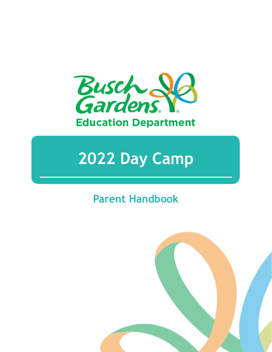

# **2022 Day Camp**

## **Parent Handbook**

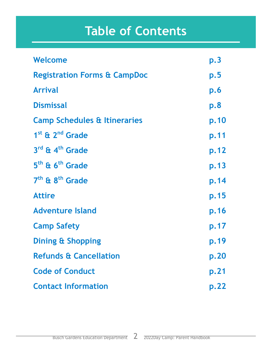# **Table of Contents**

| Welcome                                 | p.3                     |
|-----------------------------------------|-------------------------|
| <b>Registration Forms &amp; CampDoc</b> | $\mathsf{p}.\mathsf{5}$ |
| <b>Arrival</b>                          | <b>p.6</b>              |
| <b>Dismissal</b>                        | p.8                     |
| <b>Camp Schedules &amp; Itineraries</b> | p.10                    |
| $1st$ & $2nd$ Grade                     | p.11                    |
| $3^{\text{rd}}$ & 4 <sup>th</sup> Grade | p.12                    |
| 5 <sup>th</sup> & 6 <sup>th</sup> Grade | p.13                    |
| 7 <sup>th</sup> & 8 <sup>th</sup> Grade | p.14                    |
| <b>Attire</b>                           | p.15                    |
| <b>Adventure Island</b>                 | p.16                    |
| <b>Camp Safety</b>                      | p.17                    |
| <b>Dining &amp; Shopping</b>            | p.19                    |
| <b>Refunds &amp; Cancellation</b>       | p.20                    |
| <b>Code of Conduct</b>                  | p.21                    |
| <b>Contact Information</b>              | p.22                    |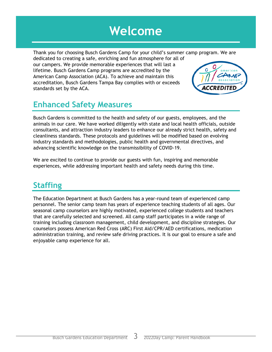## **Welcome**

Thank you for choosing Busch Gardens Camp for your child's summer camp program. We are dedicated to creating a safe, enriching and fun atmosphere for all of our campers. We provide memorable experiences that will last a lifetime. Busch Gardens Camp programs are accredited by the American Camp Association (ACA). To achieve and maintain this accreditation, Busch Gardens Tampa Bay complies with or exceeds standards set by the ACA.

## **Enhanced Safety Measures**

Busch Gardens is committed to the health and safety of our guests, employees, and the animals in our care. We have worked diligently with state and local health officials, outside consultants, and attraction industry leaders to enhance our already strict health, safety and cleanliness standards. These protocols and guidelines will be modified based on evolving industry standards and methodologies, public health and governmental directives, and advancing scientific knowledge on the transmissibility of COVID-19.

We are excited to continue to provide our guests with fun, inspiring and memorable experiences, while addressing important health and safety needs during this time.

## **Staffing**

The Education Department at Busch Gardens has a year-round team of experienced camp personnel. The senior camp team has years of experience teaching students of all ages. Our seasonal camp counselors are highly motivated, experienced college students and teachers that are carefully selected and screened. All camp staff participates in a wide range of training including classroom management, child development, and discipline strategies. Our counselors possess American Red Cross (ARC) First Aid/CPR/AED certifications, medication administration training, and review safe driving practices. It is our goal to ensure a safe and enjoyable camp experience for all.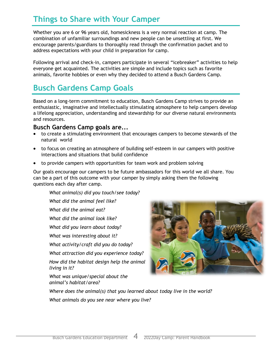## **Things to Share with Your Camper**

Whether you are 6 or 96 years old, homesickness is a very normal reaction at camp. The combination of unfamiliar surroundings and new people can be unsettling at first. We encourage parents/guardians to thoroughly read through the confirmation packet and to address expectations with your child in preparation for camp.

Following arrival and check-in, campers participate in several "icebreaker" activities to help everyone get acquainted. The activities are simple and include topics such as favorite animals, favorite hobbies or even why they decided to attend a Busch Gardens Camp.

## **Busch Gardens Camp Goals**

Based on a long-term commitment to education, Busch Gardens Camp strives to provide an enthusiastic, imaginative and intellectually stimulating atmosphere to help campers develop a lifelong appreciation, understanding and stewardship for our diverse natural environments and resources.

#### **Busch Gardens Camp goals are...**

- to create a stimulating environment that encourages campers to become stewards of the natural world
- to focus on creating an atmosphere of building self-esteem in our campers with positive interactions and situations that build confidence
- to provide campers with opportunities for team work and problem solving

Our goals encourage our campers to be future ambassadors for this world we all share. You can be a part of this outcome with your camper by simply asking them the following questions each day after camp.

*What animal(s) did you touch/see today?*

*What did the animal feel like?* 

*What did the animal eat?* 

*What did the animal look like?*

*What did you learn about today?* 

*What was interesting about it?*

*What activity/craft did you do today?* 

*What attraction did you experience today?*

*How did the habitat design help the animal living in it?* 

*What was unique/special about the animal's habitat/area?*



*Where does the animal(s) that you learned about today live in the world? What animals do you see near where you live?*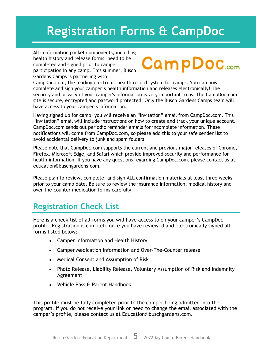# **Registration Forms & CampDoc**

All confirmation packet components, including health history and release forms, need to be completed and signed prior to camper participation in any camp. This summer, Busch Gardens Camps is partnering with

# **CampDoc**.com

CampDoc.com, the leading electronic health record system for camps. You can now complete and sign your camper's health information and releases electronically! The security and privacy of your camper's information is very important to us. The CampDoc.com site is secure, encrypted and password protected. Only the Busch Gardens Camps team will have access to your camper's information.

Having signed up for camp, you will receive an "Invitation" email from CampDoc.com. This "Invitation" email will include instructions on how to create and track your unique account. CampDoc.com sends out periodic reminder emails for incomplete information. These notifications will come from CampDoc.com, so please add this to your safe sender list to avoid accidental delivery to junk and spam folders.

Please note that CampDoc.com supports the current and previous major releases of Chrome, Firefox, Microsoft Edge, and Safari which provide improved security and performance for health information. If you have any questions regarding CampDoc.com, please contact us at education@buschgardens.com.

Please plan to review, complete, and sign ALL confirmation materials at least three weeks prior to your camp date. Be sure to review the insurance information, medical history and over-the-counter medication forms carefully.

## **Registration Check List**

Here is a check-list of all forms you will have access to on your camper's CampDoc profile. Registration is complete once you have reviewed and electronically signed all forms listed below:

- Camper Information and Health History
- Camper Medication Information and Over-The-Counter release
- Medical Consent and Assumption of Risk
- Photo Release, Liability Release, Voluntary Assumption of Risk and Indemnity Agreement
- Vehicle Pass & Parent Handbook

This profile must be fully completed prior to the camper being admitted into the program. If you do not receive your link or need to change the email associated with the camper's profile, please contact us at Education@buschgardens.com.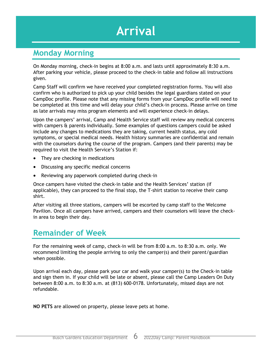# **Arrival**

#### **Monday Morning**

On Monday morning, check-in begins at 8:00 a.m. and lasts until approximately 8:30 a.m. After parking your vehicle, please proceed to the check-in table and follow all instructions given.

Camp Staff will confirm we have received your completed registration forms. You will also confirm who is authorized to pick up your child besides the legal guardians stated on your CampDoc profile. Please note that any missing forms from your CampDoc profile will need to be completed at this time and will delay your child's check-in process. Please arrive on time as late arrivals may miss program elements and will experience check-in delays.

Upon the campers' arrival, Camp and Health Service staff will review any medical concerns with campers & parents individually. Some examples of questions campers could be asked include any changes to medications they are taking, current health status, any cold symptoms, or special medical needs. Health history summaries are confidential and remain with the counselors during the course of the program. Campers (and their parents) may be required to visit the Health Service's Station if:

- They are checking in medications
- Discussing any specific medical concerns
- Reviewing any paperwork completed during check-in

Once campers have visited the check-in table and the Health Services' station (if applicable), they can proceed to the final stop, the T-shirt station to receive their camp shirt.

After visiting all three stations, campers will be escorted by camp staff to the Welcome Pavilion. Once all campers have arrived, campers and their counselors will leave the checkin area to begin their day.

## **Remainder of Week**

For the remaining week of camp, check-in will be from 8:00 a.m. to 8:30 a.m. only. We recommend limiting the people arriving to only the camper(s) and their parent/guardian when possible.

Upon arrival each day, please park your car and walk your camper(s) to the Check-in table and sign them in. If your child will be late or absent, please call the Camp Leaders On Duty between 8:00 a.m. to 8:30 a.m. at (813) 600-0178. Unfortunately, missed days are not refundable.

**NO PETS** are allowed on property, please leave pets at home.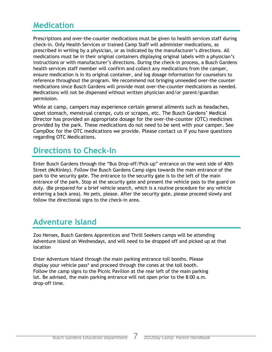#### **Medication**

Prescriptions and over-the-counter medications must be given to health services staff during check-in. Only Health Services or trained Camp Staff will administer medications, as prescribed in writing by a physician, or as indicated by the manufacturer's directions. All medications must be in their original containers displaying original labels with a physician's instructions or with manufacturer's directions. During the check-in process, a Busch Gardens health services staff member will confirm and collect any medications from the camper, ensure medication is in its original container, and log dosage information for counselors to reference throughout the program. We recommend not bringing unneeded over-the counter medications since Busch Gardens will provide most over-the-counter medications as needed. Medications will not be dispensed without written physician and/or parent/guardian permission.

While at camp, campers may experience certain general ailments such as headaches, upset stomach, menstrual cramps, cuts or scrapes, etc. The Busch Gardens' Medical Director has provided an appropriate dosage for the over-the-counter (OTC) medicines provided by the park. These medications do not need to be sent with your camper. See CampDoc for the OTC medications we provide. Please contact us if you have questions regarding OTC Medications.

#### **Directions to Check-In**

Enter Busch Gardens through the "Bus Drop-off/Pick-up" entrance on the west side of 40th Street (McKinley). Follow the Busch Gardens Camp signs towards the main entrance of the park to the security gate. The entrance to the security gate is to the left of the main entrance of the park. Stop at the security gate and present the vehicle pass to the guard on duty. (Be prepared for a brief vehicle search, which is a routine procedure for any vehicle entering a back area). No pets, please. After the security gate, please proceed slowly and follow the directional signs to the check-in area.

## **Adventure Island**

Zoo Heroes, Busch Gardens Apprentices and Thrill Seekers camps will be attending Adventure Island on Wednesdays, and will need to be dropped off and picked up at that location

Enter Adventure Island through the main parking entrance toll booths. Please display your vehicle pass\* and proceed through the cones at the toll booth. Follow the camp signs to the Picnic Pavilion at the rear left of the main parking lot. Be advised, the main parking entrance will not open prior to the 8:00 a.m. drop-off time.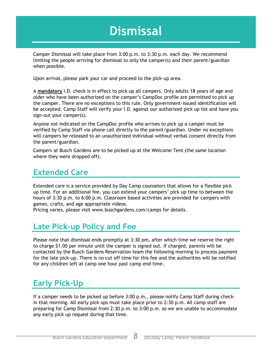# **Dismissal**

Camper Dismissal will take place from 3:00 p.m. to 3:30 p.m. each day. We recommend limiting the people arriving for dismissal to only the camper(s) and their parent/guardian when possible.

Upon arrival, please park your car and proceed to the pick-up area.

A **mandatory** I.D. check is in effect to pick up all campers. Only adults 18 years of age and older who have been authorized on the camper's CampDoc profile are permitted to pick up the camper. There are no exceptions to this rule. Only government-issued identification will be accepted. Camp Staff will verify your I.D. against our authorized pick up list and have you sign-out your camper(s).

Anyone not indicated on the CampDoc profile who arrives to pick up a camper must be verified by Camp Staff via phone call directly to the parent/guardian. Under no exceptions will campers be released to an unauthorized individual without verbal consent directly from the parent/guardian.

Campers at Busch Gardens are to be picked up at the Welcome Tent (the same location where they were dropped off).

#### **Extended Care**

Extended care is a service provided by Day Camp counselors that allows for a flexible pick up time. For an additional fee, you can extend your campers' pick up time to between the hours of 3:30 p.m. to 6:00 p.m. Classroom based activities are provided for campers with games, crafts, and age appropriate videos.

Pricing varies, please visit www.buschgardens.com/camps for details.

#### **Late Pick-up Policy and Fee**

Please note that dismissal ends promptly at 3:30 pm, after which time we reserve the right to charge \$1.00 per minute until the camper is signed out. If charged, parents will be contacted by the Busch Gardens Reservation team the following morning to process payment for the late pick-up. There is no cut off time for this fee and the authorities will be notified for any children left at camp one hour past camp end time.

#### **Early Pick-Up**

If a camper needs to be picked up before 3:00 p.m., please notify Camp Staff during checkin that morning. All early pick ups must take place prior to 2:30 p.m. All camp staff are preparing for Camp Dismissal from 2:30 p.m. to 3:00 p.m. so we are unable to accommodate any early pick up request during that time.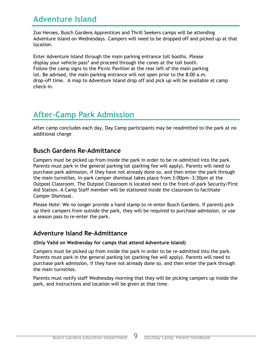#### **Adventure Island**

Zoo Heroes, Busch Gardens Apprentices and Thrill Seekers camps will be attending Adventure Island on Wednesdays. Campers will need to be dropped off and picked up at that location.

Enter Adventure Island through the main parking entrance toll booths. Please display your vehicle pass\* and proceed through the cones at the toll booth. Follow the camp signs to the Picnic Pavilion at the rear left of the main parking lot. Be advised, the main parking entrance will not open prior to the 8:00 a.m. drop-off time. A map to Adventure Island drop off and pick up will be available at camp check-in.

## **After-Camp Park Admission**

After camp concludes each day, Day Camp participants may be readmitted to the park at no additional charge

#### **Busch Gardens Re-Admittance**

Campers must be picked up from inside the park in order to be re-admitted into the park. Parents must park in the general parking lot (parking fee will apply). Parents will need to purchase park admission, if they have not already done so, and then enter the park through the main turnstiles. In-park camper dismissal takes place from 3:00pm—3:30pm at the Outpost Classroom. The Outpost Classroom is located next to the front-of-park Security/First Aid Station. A Camp Staff member will be stationed inside the classroom to facilitate Camper Dismissal.

Please Note: We no longer provide a hand stamp to re-enter Busch Gardens. If parents pick up their campers from outside the park, they will be required to purchase admission, or use a season pass to re-enter the park.

#### **Adventure Island Re-Admittance**

#### **(Only Valid on Wednesday for camps that attend Adventure Island)**

Campers must be picked up from inside the park in order to be re-admitted into the park. Parents must park in the general parking lot (parking fee will apply). Parents will need to purchase park admission, if they have not already done so, and then enter the park through the main turnstiles.

Parents must notify staff Wednesday morning that they will be picking campers up inside the park, and instructions and location will be given at that time.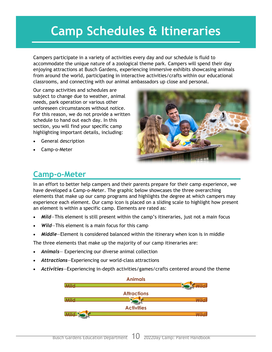# **Camp Schedules & Itineraries**

Campers participate in a variety of activities every day and our schedule is fluid to accommodate the unique nature of a zoological theme park. Campers will spend their day enjoying attractions at Busch Gardens, experiencing immersive exhibits showcasing animals from around the world, participating in interactive activities/crafts within our educational classrooms, and connecting with our animal ambassadors up close and personal.

Our camp activities and schedules are subject to change due to weather, animal needs, park operation or various other unforeseen circumstances without notice. For this reason, we do not provide a written schedule to hand out each day. In this section, you will find your specific camp highlighting important details, including:

- General description
- Camp-o-Meter



## **Camp-o-Meter**

In an effort to better help campers and their parents prepare for their camp experience, we have developed a Camp-o-Meter. The graphic below showcases the three overarching elements that make up our camp programs and highlights the degree at which campers may experience each element. Our camp icon is placed on a sliding scale to highlight how present an element is within a specific camp. Elements are rated as:

- *Mild*—This element is still present within the camp's itineraries, just not a main focus
- Wild-This element is a main focus for this camp
- *Middle*—Element is considered balanced within the itinerary when icon is in middle

The three elements that make up the majority of our camp itineraries are:

- *Animals* Experiencing our diverse animal collection
- *Attractions*—Experiencing our world-class attractions
- *Activities*—Experiencing in-depth activities/games/crafts centered around the theme

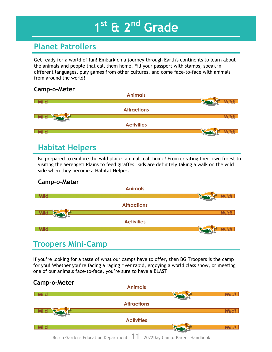# **1 st & 2nd Grade**

## **Planet Patrollers**

Get ready for a world of fun! Embark on a journey through Earth's continents to learn about the animals and people that call them home. Fill your passport with stamps, speak in different languages, play games from other cultures, and come face-to-face with animals from around the world!

#### **Camp-o-Meter**



#### **Habitat Helpers**

Be prepared to explore the wild places animals call home! From creating their own forest to visiting the Serengeti Plains to feed giraffes, kids are definitely taking a walk on the wild side when they become a Habitat Helper.

#### **Camp-o-Meter**



#### **Troopers Mini-Camp**

If you're looking for a taste of what our camps have to offer, then BG Troopers is the camp for you! Whether you're facing a raging river rapid, enjoying a world class show, or meeting one of our animals face-to-face, you're sure to have a BLAST!

#### **Camp-o-Meter**

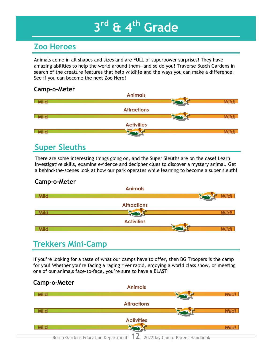# **3 rd & 4th Grade**

## **Zoo Heroes**

Animals come in all shapes and sizes and are FULL of superpower surprises! They have amazing abilities to help the world around them—and so do you! Traverse Busch Gardens in search of the creature features that help wildlife and the ways you can make a difference. See if you can become the next Zoo Hero!

#### **Camp-o-Meter**



## **Super Sleuths**

There are some interesting things going on, and the Super Sleuths are on the case! Learn investigative skills, examine evidence and decipher clues to discover a mystery animal. Get a behind-the-scenes look at how our park operates while learning to become a super sleuth!

#### **Camp-o-Meter**



#### **Trekkers Mini-Camp**

If you're looking for a taste of what our camps have to offer, then BG Troopers is the camp for you! Whether you're facing a raging river rapid, enjoying a world class show, or meeting one of our animals face-to-face, you're sure to have a BLAST!

#### **Camp-o-Meter**

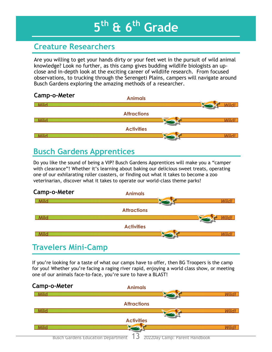# **5 th & 6th Grade**

### **Creature Researchers**

Are you willing to get your hands dirty or your feet wet in the pursuit of wild animal knowledge? Look no further, as this camp gives budding wildlife biologists an upclose and in-depth look at the exciting career of wildlife research. From focused observations, to trucking through the Serengeti Plains, campers will navigate around Busch Gardens exploring the amazing methods of a researcher.



## **Busch Gardens Apprentices**

Do you like the sound of being a VIP? Busch Gardens Apprentices will make you a "camper with clearance"! Whether it's learning about baking our delicious sweet treats, operating one of our exhilarating roller coasters, or finding out what it takes to become a zoo veterinarian, discover what it takes to operate our world-class theme parks!



## **Travelers Mini-Camp**

If you're looking for a taste of what our camps have to offer, then BG Troopers is the camp for you! Whether you're facing a raging river rapid, enjoying a world class show, or meeting one of our animals face-to-face, you're sure to have a BLAST!

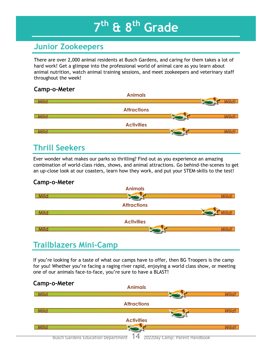# **7 th & 8th Grade**

#### **Junior Zookeepers**

There are over 2,000 animal residents at Busch Gardens, and caring for them takes a lot of hard work! Get a glimpse into the professional world of animal care as you learn about animal nutrition, watch animal training sessions, and meet zookeepers and veterinary staff throughout the week!

#### **Camp-o-Meter**



## **Thrill Seekers**

Ever wonder what makes our parks so thrilling? Find out as you experience an amazing combination of world-class rides, shows, and animal attractions. Go behind-the-scenes to get an up-close look at our coasters, learn how they work, and put your STEM-skills to the test!

#### **Camp-o-Meter**



#### **Trailblazers Mini-Camp**

If you're looking for a taste of what our camps have to offer, then BG Troopers is the camp for you! Whether you're facing a raging river rapid, enjoying a world class show, or meeting one of our animals face-to-face, you're sure to have a BLAST!

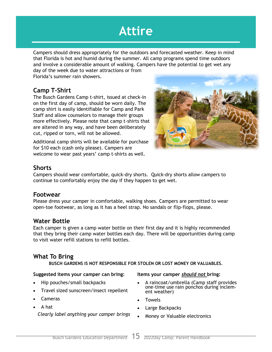# **Attire**

Campers should dress appropriately for the outdoors and forecasted weather. Keep in mind that Florida is hot and humid during the summer. All camp programs spend time outdoors and involve a considerable amount of walking. Campers have the potential to get wet any

day of the week due to water attractions or from Florida's summer rain showers.

#### **Camp T-Shirt**

The Busch Gardens Camp t-shirt, issued at check-in on the first day of camp, should be worn daily. The camp shirt is easily identifiable for Camp and Park Staff and allow counselors to manage their groups more effectively. Please note that camp t-shirts that are altered in any way, and have been deliberately cut, ripped or torn, will not be allowed.

Additional camp shirts will be available for purchase for \$10 each (cash only please). Campers are welcome to wear past years' camp t-shirts as well.



#### **Shorts**

Campers should wear comfortable, quick-dry shorts. Quick-dry shorts allow campers to continue to comfortably enjoy the day if they happen to get wet.

#### **Footwear**

Please dress your camper in comfortable, walking shoes. Campers are permitted to wear open-toe footwear, as long as it has a heel strap. No sandals or flip-flops, please.

#### **Water Bottle**

Each camper is given a camp water bottle on their first day and it is highly recommended that they bring their camp water bottles each day. There will be opportunities during camp to visit water refill stations to refill bottles.

#### **What To Bring**

**BUSCH GARDENS IS NOT RESPONSIBLE FOR STOLEN OR LOST MONEY OR VALUABLES.**

#### **Suggested items your camper can bring:**

- Hip pouches/small backpacks
- Travel sized sunscreen/insect repellent
- Cameras
- A hat

*Clearly label anything your camper brings* 

#### **Items your camper** *should not* **bring:**

- A raincoat/umbrella (Camp staff provides one-time use rain ponchos during inclement weather)
- Towels
- Large Backpacks
- Money or Valuable electronics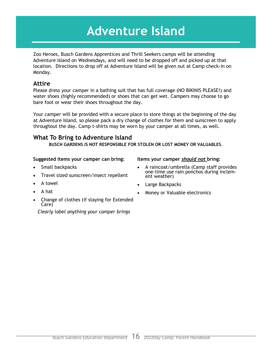# **Adventure Island**

Zoo Heroes, Busch Gardens Apprentices and Thrill Seekers camps will be attending Adventure Island on Wednesdays, and will need to be dropped off and picked up at that location. Directions to drop off at Adventure Island will be given out at Camp check-in on Monday.

#### **Attire**

Please dress your camper in a bathing suit that has full coverage (NO BIKINIS PLEASE!) and water shoes (highly recommended) or shoes that can get wet. Campers may choose to go bare foot or wear their shoes throughout the day.

Your camper will be provided with a secure place to store things at the beginning of the day at Adventure Island, so please pack a dry change of clothes for them and sunscreen to apply throughout the day. Camp t-shirts may be worn by your camper at all times, as well.

#### **What To Bring to Adventure Island**

**BUSCH GARDENS IS NOT RESPONSIBLE FOR STOLEN OR LOST MONEY OR VALUABLES.**

#### **Suggested items your camper can bring:**

- Small backpacks
- Travel sized sunscreen/insect repellent
- A towel
- A hat
- Change of clothes (if staying for Extended Care)

*Clearly label anything your camper brings* 

#### **Items your camper** *should not* **bring:**

- A raincoat/umbrella (Camp staff provides one-time use rain ponchos during inclement weather)
- Large Backpacks
- Money or Valuable electronics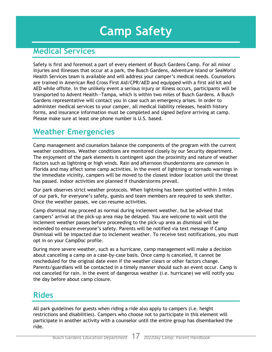# **Camp Safety**

#### **Medical Services**

Safety is first and foremost a part of every element of Busch Gardens Camp. For all minor injuries and illnesses that occur at a park, the Busch Gardens, Adventure Island or SeaWorld Health Services team is available and will address your camper's medical needs. Counselors are trained in American Red Cross First Aid/CPR/AED and equipped with a first aid kit and AED while offsite. In the unlikely event a serious injury or illness occurs, participants will be transported to Advent Health—Tampa, which is within two miles of Busch Gardens. A Busch Gardens representative will contact you in case such an emergency arises. In order to administer medical services to your camper, all medical liability releases, health history forms, and insurance information must be completed and signed *before* arriving at camp. Please make sure at least one phone number is U.S. based.

## **Weather Emergencies**

Camp management and counselors balance the components of the program with the current weather conditions. Weather conditions are monitored closely by our Security department. The enjoyment of the park elements is contingent upon the proximity and nature of weather factors such as lightning or high winds. Rain and afternoon thunderstorms are common in Florida and may affect some camp activities. In the event of lightning or tornado warnings in the immediate vicinity, campers will be moved to the closest indoor location until the threat has passed. Indoor activities are planned if thunderstorms prevail.

Our park observes strict weather protocols. When lightning has been spotted within 3 miles of our park, for everyone's safety, guests and team members are required to seek shelter. Once the weather passes, we can resume activities.

Camp dismissal may proceed as normal during inclement weather, but be advised that campers' arrival at the pick-up area may be delayed. You are welcome to wait until the inclement weather passes before proceeding to the pick-up area as dismissal will be extended to ensure everyone's safety. Parents will be notified via text message if Camp Dismissal will be impacted due to inclement weather. To receive text notifications, you must opt in on your CampDoc profile.

During more severe weather, such as a hurricane, camp management will make a decision about canceling a camp on a case-by-case basis. Once camp is canceled, it cannot be rescheduled for the original date even if the weather clears or other factors change. Parents/guardians will be contacted in a timely manner should such an event occur. Camp is not canceled for rain. In the event of dangerous weather (i.e. hurricane) we will notify you the day before about camp closure.

#### **Rides**

All park guidelines for guests when riding a ride also apply to campers (i.e. height restrictions and disabilities). Campers who choose not to participate in this element will participate in another activity with a counselor until the entire group has disembarked the ride.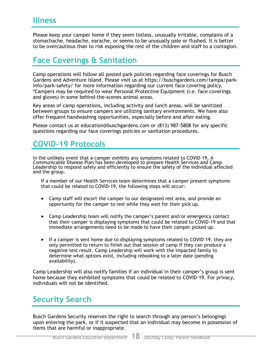Please keep your camper home if they seem listless, unusually irritable, complains of a stomachache, headache, earache, or seems to be unusually pale or flushed. It is better to be overcautious than to risk exposing the rest of the children and staff to a contagion.

#### **Face Coverings & Sanitation**

Camp operations will follow all posted park policies regarding face coverings for Busch Gardens and Adventure Island. Please visit us at https://buschgardens.com/tampa/parkinfo/park-safety/ for more information regarding our current face covering policy. \*Campers may be required to wear Personal Protective Equipment (i.e. face coverings and gloves) in some behind-the-scenes animal areas.

Key areas of camp operations, including activity and lunch areas, will be sanitized between groups to ensure campers are utilizing sanitary environments. We have also offer frequent handwashing opportunities, especially before and after eating.

Please contact us at education@buschgardens.com or (813) 987-5808 for any specific questions regarding our face coverings policies or sanitation procedures.

## **COVID-19 Protocols**

In the unlikely event that a camper exhibits any symptoms related to COVID-19, A Communicable Disease Plan has been developed to prepare Health Services and Camp Leadership to respond safely and efficiently to ensure the safety of the individual affected and the group.

If a member of our Health Services team determines that a camper present symptoms that could be related to COVID-19, the following steps will occur:

- Camp staff will escort the camper to our designated rest area, and provide an opportunity for the camper to rest while they wait for their pick up.
- Camp Leadership team will notify the camper's parent and/or emergency contact that their camper is displaying symptoms that could be related to COVID-19 and that immediate arrangements need to be made to have their camper picked up.
- If a camper is sent home due to displaying symptoms related to COVID-19, they are only permitted to return to finish out that session of camp if they can produce a negative test result. Camp Leadership will work with the impacted family to determine what options exist, including rebooking to a later date (pending availability).

Camp Leadership will also notify families if an individual in their camper's group is sent home because they exhibited symptoms that could be related to COVID-19. For privacy, individuals will not be identified.

## **Security Search**

Busch Gardens Security reserves the right to search through any person's belongings upon entering the park, or if it suspected that an individual may become in possession of items that are harmful or inappropriate.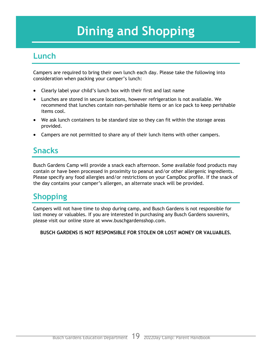# **Dining and Shopping**

#### **Lunch**

Campers are required to bring their own lunch each day. Please take the following into consideration when packing your camper's lunch:

- Clearly label your child's lunch box with their first and last name
- Lunches are stored in secure locations, however refrigeration is not available. We recommend that lunches contain non-perishable items or an ice pack to keep perishable items cool.
- We ask lunch containers to be standard size so they can fit within the storage areas provided.
- Campers are not permitted to share any of their lunch items with other campers.

## **Snacks**

Busch Gardens Camp will provide a snack each afternoon. Some available food products may contain or have been processed in proximity to peanut and/or other allergenic ingredients. Please specify any food allergies and/or restrictions on your CampDoc profile. If the snack of the day contains your camper's allergen, an alternate snack will be provided.

## **Shopping**

Campers will not have time to shop during camp, and Busch Gardens is not responsible for lost money or valuables. If you are interested in purchasing any Busch Gardens souvenirs, please visit our online store at www.buschgardensshop.com.

**BUSCH GARDENS IS NOT RESPONSIBLE FOR STOLEN OR LOST MONEY OR VALUABLES.**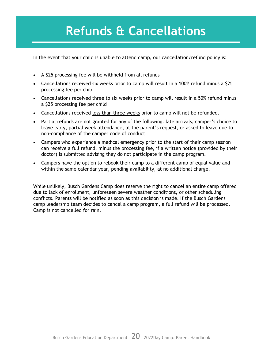## **Refunds & Cancellations**

In the event that your child is unable to attend camp, our cancellation/refund policy is:

- A \$25 processing fee will be withheld from all refunds
- Cancellations received six weeks prior to camp will result in a 100% refund minus a \$25 processing fee per child
- Cancellations received three to six weeks prior to camp will result in a 50% refund minus a \$25 processing fee per child
- Cancellations received less than three weeks prior to camp will not be refunded.
- Partial refunds are not granted for any of the following: late arrivals, camper's choice to leave early, partial week attendance, at the parent's request, or asked to leave due to non-compliance of the camper code of conduct.
- Campers who experience a medical emergency prior to the start of their camp session can receive a full refund, minus the processing fee, if a written notice (provided by their doctor) is submitted advising they do not participate in the camp program.
- Campers have the option to rebook their camp to a different camp of equal value and within the same calendar year, pending availability, at no additional charge.

While unlikely, Busch Gardens Camp does reserve the right to cancel an entire camp offered due to lack of enrollment, unforeseen severe weather conditions, or other scheduling conflicts. Parents will be notified as soon as this decision is made. If the Busch Gardens camp leadership team decides to cancel a camp program, a full refund will be processed. Camp is not cancelled for rain.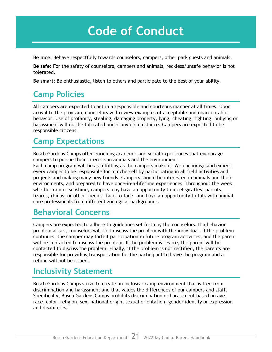# **Code of Conduct**

**Be nice:** Behave respectfully towards counselors, campers, other park guests and animals.

**Be safe:** For the safety of counselors, campers and animals, reckless/unsafe behavior is not tolerated.

**Be smart:** Be enthusiastic, listen to others and participate to the best of your ability.

## **Camp Policies**

All campers are expected to act in a responsible and courteous manner at all times. Upon arrival to the program, counselors will review examples of acceptable and unacceptable behavior. Use of profanity, stealing, damaging property, lying, cheating, fighting, bullying or harassment will not be tolerated under any circumstance. Campers are expected to be responsible citizens.

## **Camp Expectations**

Busch Gardens Camps offer enriching academic and social experiences that encourage campers to pursue their interests in animals and the environment.

Each camp program will be as fulfilling as the campers make it. We encourage and expect every camper to be responsible for him/herself by participating in all field activities and projects and making many new friends. Campers should be interested in animals and their environments, and prepared to have once-in-a-lifetime experiences! Throughout the week, whether rain or sunshine, campers may have an opportunity to meet giraffes, parrots, lizards, rhinos, or other species—face-to-face—and have an opportunity to talk with animal care professionals from different zoological backgrounds.

#### **Behavioral Concerns**

Campers are expected to adhere to guidelines set forth by the counselors. If a behavior problem arises, counselors will first discuss the problem with the individual. If the problem continues, the camper may forfeit participation in future program activities, and the parent will be contacted to discuss the problem. If the problem is severe, the parent will be contacted to discuss the problem. Finally, if the problem is not rectified, the parents are responsible for providing transportation for the participant to leave the program and a refund will not be issued.

## **Inclusivity Statement**

Busch Gardens Camps strive to create an inclusive camp environment that is free from discrimination and harassment and that values the differences of our campers and staff. Specifically, Busch Gardens Camps prohibits discrimination or harassment based on age, race, color, religion, sex, national origin, sexual orientation, gender identity or expression and disabilities.